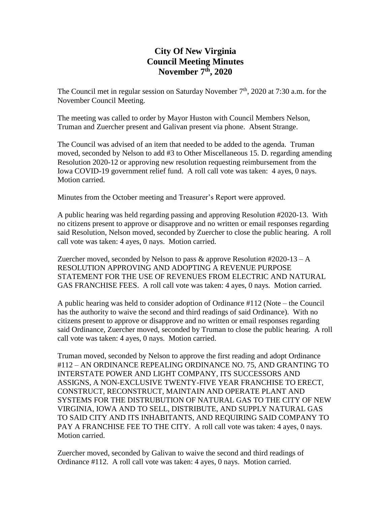## **City Of New Virginia Council Meeting Minutes November 7 th , 2020**

The Council met in regular session on Saturday November  $7<sup>th</sup>$ , 2020 at 7:30 a.m. for the November Council Meeting.

The meeting was called to order by Mayor Huston with Council Members Nelson, Truman and Zuercher present and Galivan present via phone. Absent Strange.

The Council was advised of an item that needed to be added to the agenda. Truman moved, seconded by Nelson to add #3 to Other Miscellaneous 15. D. regarding amending Resolution 2020-12 or approving new resolution requesting reimbursement from the Iowa COVID-19 government relief fund. A roll call vote was taken: 4 ayes, 0 nays. Motion carried.

Minutes from the October meeting and Treasurer's Report were approved.

A public hearing was held regarding passing and approving Resolution #2020-13. With no citizens present to approve or disapprove and no written or email responses regarding said Resolution, Nelson moved, seconded by Zuercher to close the public hearing. A roll call vote was taken: 4 ayes, 0 nays. Motion carried.

Zuercher moved, seconded by Nelson to pass  $\&$  approve Resolution #2020-13 – A RESOLUTION APPROVING AND ADOPTING A REVENUE PURPOSE STATEMENT FOR THE USE OF REVENUES FROM ELECTRIC AND NATURAL GAS FRANCHISE FEES. A roll call vote was taken: 4 ayes, 0 nays. Motion carried.

A public hearing was held to consider adoption of Ordinance #112 (Note – the Council has the authority to waive the second and third readings of said Ordinance). With no citizens present to approve or disapprove and no written or email responses regarding said Ordinance, Zuercher moved, seconded by Truman to close the public hearing. A roll call vote was taken: 4 ayes, 0 nays. Motion carried.

Truman moved, seconded by Nelson to approve the first reading and adopt Ordinance #112 – AN ORDINANCE REPEALING ORDINANCE NO. 75, AND GRANTING TO INTERSTATE POWER AND LIGHT COMPANY, ITS SUCCESSORS AND ASSIGNS, A NON-EXCLUSIVE TWENTY-FIVE YEAR FRANCHISE TO ERECT, CONSTRUCT, RECONSTRUCT, MAINTAIN AND OPERATE PLANT AND SYSTEMS FOR THE DISTRUBUTION OF NATURAL GAS TO THE CITY OF NEW VIRGINIA, IOWA AND TO SELL, DISTRIBUTE, AND SUPPLY NATURAL GAS TO SAID CITY AND ITS INHABITANTS, AND REQUIRING SAID COMPANY TO PAY A FRANCHISE FEE TO THE CITY. A roll call vote was taken: 4 ayes, 0 nays. Motion carried.

Zuercher moved, seconded by Galivan to waive the second and third readings of Ordinance #112. A roll call vote was taken: 4 ayes, 0 nays. Motion carried.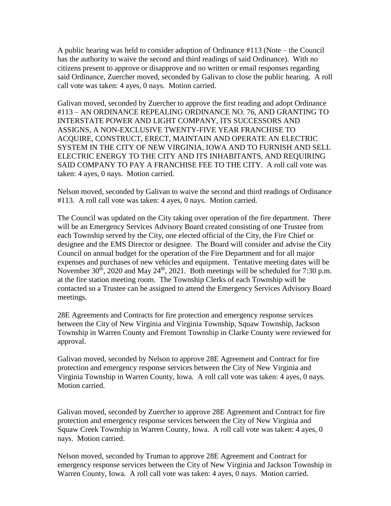A public hearing was held to consider adoption of Ordinance #113 (Note – the Council has the authority to waive the second and third readings of said Ordinance). With no citizens present to approve or disapprove and no written or email responses regarding said Ordinance, Zuercher moved, seconded by Galivan to close the public hearing. A roll call vote was taken: 4 ayes, 0 nays. Motion carried.

Galivan moved, seconded by Zuercher to approve the first reading and adopt Ordinance #113 – AN ORDINANCE REPEALING ORDINANCE NO. 76, AND GRANTING TO INTERSTATE POWER AND LIGHT COMPANY, ITS SUCCESSORS AND ASSIGNS, A NON-EXCLUSIVE TWENTY-FIVE YEAR FRANCHISE TO ACQUIRE, CONSTRUCT, ERECT, MAINTAIN AND OPERATE AN ELECTRIC SYSTEM IN THE CITY OF NEW VIRGINIA, IOWA AND TO FURNISH AND SELL ELECTRIC ENERGY TO THE CITY AND ITS INHABITANTS, AND REQUIRING SAID COMPANY TO PAY A FRANCHISE FEE TO THE CITY. A roll call vote was taken: 4 ayes, 0 nays. Motion carried.

Nelson moved, seconded by Galivan to waive the second and third readings of Ordinance #113. A roll call vote was taken: 4 ayes, 0 nays. Motion carried.

The Council was updated on the City taking over operation of the fire department. There will be an Emergency Services Advisory Board created consisting of one Trustee from each Township served by the City, one elected official of the City, the Fire Chief or designee and the EMS Director or designee. The Board will consider and advise the City Council on annual budget for the operation of the Fire Department and for all major expenses and purchases of new vehicles and equipment. Tentative meeting dates will be November  $30<sup>th</sup>$ , 2020 and May 24<sup>th</sup>, 2021. Both meetings will be scheduled for 7:30 p.m. at the fire station meeting room. The Township Clerks of each Township will be contacted so a Trustee can be assigned to attend the Emergency Services Advisory Board meetings.

28E Agreements and Contracts for fire protection and emergency response services between the City of New Virginia and Virginia Township, Squaw Township, Jackson Township in Warren County and Fremont Township in Clarke County were reviewed for approval.

Galivan moved, seconded by Nelson to approve 28E Agreement and Contract for fire protection and emergency response services between the City of New Virginia and Virginia Township in Warren County, Iowa. A roll call vote was taken: 4 ayes, 0 nays. Motion carried.

Galivan moved, seconded by Zuercher to approve 28E Agreement and Contract for fire protection and emergency response services between the City of New Virginia and Squaw Creek Township in Warren County, Iowa. A roll call vote was taken: 4 ayes, 0 nays. Motion carried.

Nelson moved, seconded by Truman to approve 28E Agreement and Contract for emergency response services between the City of New Virginia and Jackson Township in Warren County, Iowa. A roll call vote was taken: 4 ayes, 0 nays. Motion carried.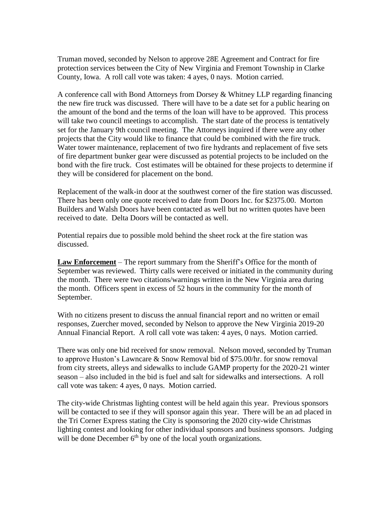Truman moved, seconded by Nelson to approve 28E Agreement and Contract for fire protection services between the City of New Virginia and Fremont Township in Clarke County, Iowa. A roll call vote was taken: 4 ayes, 0 nays. Motion carried.

A conference call with Bond Attorneys from Dorsey & Whitney LLP regarding financing the new fire truck was discussed. There will have to be a date set for a public hearing on the amount of the bond and the terms of the loan will have to be approved. This process will take two council meetings to accomplish. The start date of the process is tentatively set for the January 9th council meeting. The Attorneys inquired if there were any other projects that the City would like to finance that could be combined with the fire truck. Water tower maintenance, replacement of two fire hydrants and replacement of five sets of fire department bunker gear were discussed as potential projects to be included on the bond with the fire truck. Cost estimates will be obtained for these projects to determine if they will be considered for placement on the bond.

Replacement of the walk-in door at the southwest corner of the fire station was discussed. There has been only one quote received to date from Doors Inc. for \$2375.00. Morton Builders and Walsh Doors have been contacted as well but no written quotes have been received to date. Delta Doors will be contacted as well.

Potential repairs due to possible mold behind the sheet rock at the fire station was discussed.

**Law Enforcement** – The report summary from the Sheriff's Office for the month of September was reviewed. Thirty calls were received or initiated in the community during the month. There were two citations/warnings written in the New Virginia area during the month. Officers spent in excess of 52 hours in the community for the month of September.

With no citizens present to discuss the annual financial report and no written or email responses, Zuercher moved, seconded by Nelson to approve the New Virginia 2019-20 Annual Financial Report. A roll call vote was taken: 4 ayes, 0 nays. Motion carried.

There was only one bid received for snow removal. Nelson moved, seconded by Truman to approve Huston's Lawncare & Snow Removal bid of \$75.00/hr. for snow removal from city streets, alleys and sidewalks to include GAMP property for the 2020-21 winter season – also included in the bid is fuel and salt for sidewalks and intersections. A roll call vote was taken: 4 ayes, 0 nays. Motion carried.

The city-wide Christmas lighting contest will be held again this year. Previous sponsors will be contacted to see if they will sponsor again this year. There will be an ad placed in the Tri Corner Express stating the City is sponsoring the 2020 city-wide Christmas lighting contest and looking for other individual sponsors and business sponsors. Judging will be done December  $6<sup>th</sup>$  by one of the local youth organizations.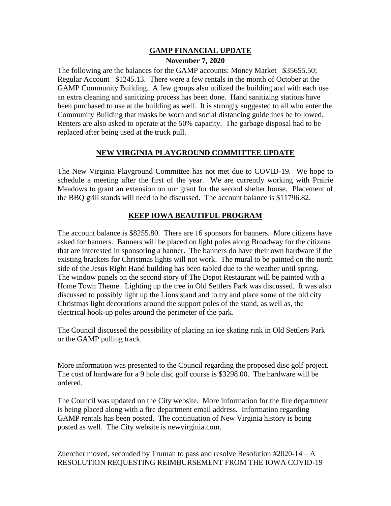## **GAMP FINANCIAL UPDATE November 7, 2020**

The following are the balances for the GAMP accounts: Money Market \$35655.50; Regular Account \$1245.13. There were a few rentals in the month of October at the GAMP Community Building. A few groups also utilized the building and with each use an extra cleaning and sanitizing process has been done. Hand sanitizing stations have been purchased to use at the building as well. It is strongly suggested to all who enter the Community Building that masks be worn and social distancing guidelines be followed. Renters are also asked to operate at the 50% capacity. The garbage disposal had to be replaced after being used at the truck pull.

## **NEW VIRGINIA PLAYGROUND COMMITTEE UPDATE**

The New Virginia Playground Committee has not met due to COVID-19. We hope to schedule a meeting after the first of the year. We are currently working with Prairie Meadows to grant an extension on our grant for the second shelter house. Placement of the BBQ grill stands will need to be discussed. The account balance is \$11796.82.

## **KEEP IOWA BEAUTIFUL PROGRAM**

The account balance is \$8255.80. There are 16 sponsors for banners. More citizens have asked for banners. Banners will be placed on light poles along Broadway for the citizens that are interested in sponsoring a banner. The banners do have their own hardware if the existing brackets for Christmas lights will not work. The mural to be painted on the north side of the Jesus Right Hand building has been tabled due to the weather until spring. The window panels on the second story of The Depot Restaurant will be painted with a Home Town Theme. Lighting up the tree in Old Settlers Park was discussed. It was also discussed to possibly light up the Lions stand and to try and place some of the old city Christmas light decorations around the support poles of the stand, as well as, the electrical hook-up poles around the perimeter of the park.

The Council discussed the possibility of placing an ice skating rink in Old Settlers Park or the GAMP pulling track.

More information was presented to the Council regarding the proposed disc golf project. The cost of hardware for a 9 hole disc golf course is \$3298.00. The hardware will be ordered.

The Council was updated on the City website. More information for the fire department is being placed along with a fire department email address. Information regarding GAMP rentals has been posted. The continuation of New Virginia history is being posted as well. The City website is newvirginia.com.

Zuercher moved, seconded by Truman to pass and resolve Resolution  $\text{\#2020-14 - A}$ RESOLUTION REQUESTING REIMBURSEMENT FROM THE IOWA COVID-19